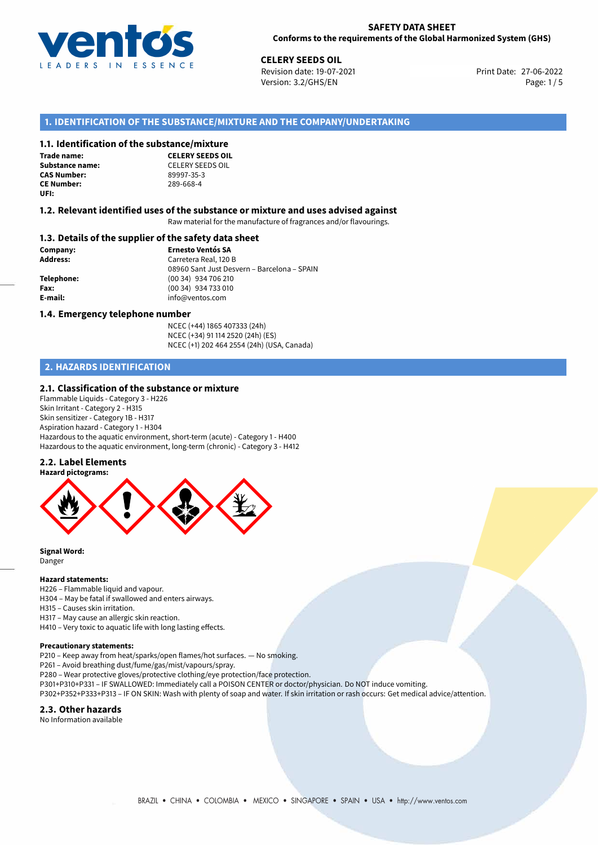

**CELERY SEEDS OIL**<br> **27-06-2022 Revision date: 19-07-2021** Print Date: 27-06-2022 Version: 3.2/GHS/EN Page: 1/5

# **1. IDENTIFICATION OF THE SUBSTANCE/MIXTURE AND THE COMPANY/UNDERTAKING**

#### **1.1. Identification of the substance/mixture**

**Trade name: CAS Number: CE Number:** 289-668-4 **UFI:**

**CELERY SEEDS OIL Substance name:** CELERY SEEDS OIL<br> **CAS Number:** 89997-35-3

#### **1.2. Relevant identified uses of the substance or mixture and uses advised against**

Raw material for the manufacture of fragrances and/or flavourings.

#### **1.3. Details of the supplier of the safety data sheet**

**Company: Ernesto Ventós SA Address:** Carretera Real, 120 B 08960 Sant Just Desvern – Barcelona – SPAIN **Telephone:** (00 34) 934 706 210 **Fax:** (00 34) 934 733 010 **E-mail:** info@ventos.com

#### **1.4. Emergency telephone number**

NCEC (+44) 1865 407333 (24h) NCEC (+34) 91 114 2520 (24h) (ES) NCEC (+1) 202 464 2554 (24h) (USA, Canada)

# **2. HAZARDS IDENTIFICATION**

#### **2.1. Classification of the substance or mixture**

Flammable Liquids - Category 3 - H226 Skin Irritant - Category 2 - H315 Skin sensitizer - Category 1B - H317 Aspiration hazard - Category 1 - H304 Hazardous to the aquatic environment, short-term (acute) - Category 1 - H400 Hazardous to the aquatic environment, long-term (chronic) - Category 3 - H412

### **2.2. Label Elements**



**Signal Word:** Danger

#### **Hazard statements:**

H226 – Flammable liquid and vapour. H304 – May be fatal if swallowed and enters airways.

H315 – Causes skin irritation.

H317 – May cause an allergic skin reaction.

H410 – Very toxic to aquatic life with long lasting effects.

#### **Precautionary statements:**

P210 – Keep away from heat/sparks/open flames/hot surfaces. — No smoking.

P261 – Avoid breathing dust/fume/gas/mist/vapours/spray.

P280 – Wear protective gloves/protective clothing/eye protection/face protection.

- P301+P310+P331 IF SWALLOWED: Immediately call a POISON CENTER or doctor/physician. Do NOT induce vomiting.
- P302+P352+P333+P313 IF ON SKIN: Wash with plenty of soap and water. If skin irritation or rash occurs: Get medical advice/attention.

#### **2.3. Other hazards**

No Information available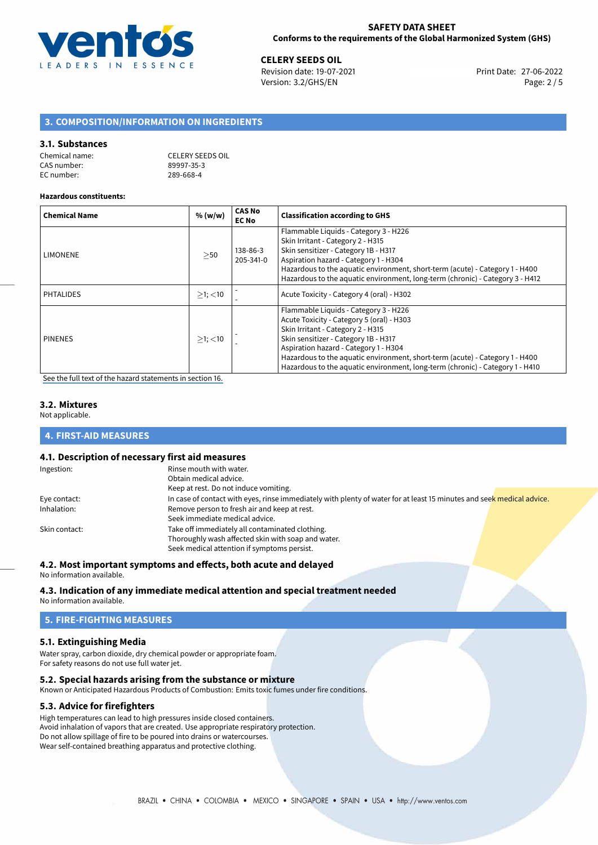

**CELERY SEEDS OIL**<br>
Revision date: 19-07-2021 **Print Date: 27-06-2022** Version: 3.2/GHS/EN Page: 2 / 5

# **3. COMPOSITION/INFORMATION ON INGREDIENTS**

#### **3.1. Substances**

| Chemical name: | CELERY SEEDS OIL |
|----------------|------------------|
| CAS number:    | 89997-35-3       |
| EC number:     | 289-668-4        |

#### **Hazardous constituents:**

| <b>Chemical Name</b> | % (w/w)       | <b>CAS No</b><br><b>EC No</b> | <b>Classification according to GHS</b>                                                                                                                                                                                                                                                                                                                                    |
|----------------------|---------------|-------------------------------|---------------------------------------------------------------------------------------------------------------------------------------------------------------------------------------------------------------------------------------------------------------------------------------------------------------------------------------------------------------------------|
| LIMONENE             | >50           | 138-86-3<br>205-341-0         | Flammable Liquids - Category 3 - H226<br>Skin Irritant - Category 2 - H315<br>Skin sensitizer - Category 1B - H317<br>Aspiration hazard - Category 1 - H304<br>Hazardous to the aquatic environment, short-term (acute) - Category 1 - H400<br>Hazardous to the aquatic environment, long-term (chronic) - Category 3 - H412                                              |
| <b>PHTALIDES</b>     | $>1$ ; $<$ 10 |                               | Acute Toxicity - Category 4 (oral) - H302                                                                                                                                                                                                                                                                                                                                 |
| <b>PINENES</b>       | $>1$ ; $<$ 10 |                               | Flammable Liquids - Category 3 - H226<br>Acute Toxicity - Category 5 (oral) - H303<br>Skin Irritant - Category 2 - H315<br>Skin sensitizer - Category 1B - H317<br>Aspiration hazard - Category 1 - H304<br>Hazardous to the aquatic environment, short-term (acute) - Category 1 - H400<br>Hazardous to the aquatic environment, long-term (chronic) - Category 1 - H410 |

[See the full text of the hazard statements in section 16.](#page-4-0)

### **3.2. Mixtures**

Not applicable.

# **4. FIRST-AID MEASURES**

# **4.1. Description of necessary first aid measures**

| Ingestion:    | Rinse mouth with water.                                                                                               |
|---------------|-----------------------------------------------------------------------------------------------------------------------|
|               | Obtain medical advice.                                                                                                |
|               | Keep at rest. Do not induce vomiting.                                                                                 |
| Eye contact:  | In case of contact with eyes, rinse immediately with plenty of water for at least 15 minutes and seek medical advice. |
| Inhalation:   | Remove person to fresh air and keep at rest.                                                                          |
|               | Seek immediate medical advice.                                                                                        |
| Skin contact: | Take off immediately all contaminated clothing.                                                                       |
|               | Thoroughly wash affected skin with soap and water.                                                                    |
|               | Seek medical attention if symptoms persist.                                                                           |

# **4.2. Most important symptoms and effects, both acute and delayed**

No information available.

# **4.3. Indication of any immediate medical attention and special treatment needed**

No information available.

# **5. FIRE-FIGHTING MEASURES**

# **5.1. Extinguishing Media**

Water spray, carbon dioxide, dry chemical powder or appropriate foam. For safety reasons do not use full water jet.

# **5.2. Special hazards arising from the substance or mixture**

Known or Anticipated Hazardous Products of Combustion: Emits toxic fumes under fire conditions.

# **5.3. Advice for firefighters**

High temperatures can lead to high pressures inside closed containers. Avoid inhalation of vapors that are created. Use appropriate respiratory protection. Do not allow spillage of fire to be poured into drains or watercourses. Wear self-contained breathing apparatus and protective clothing.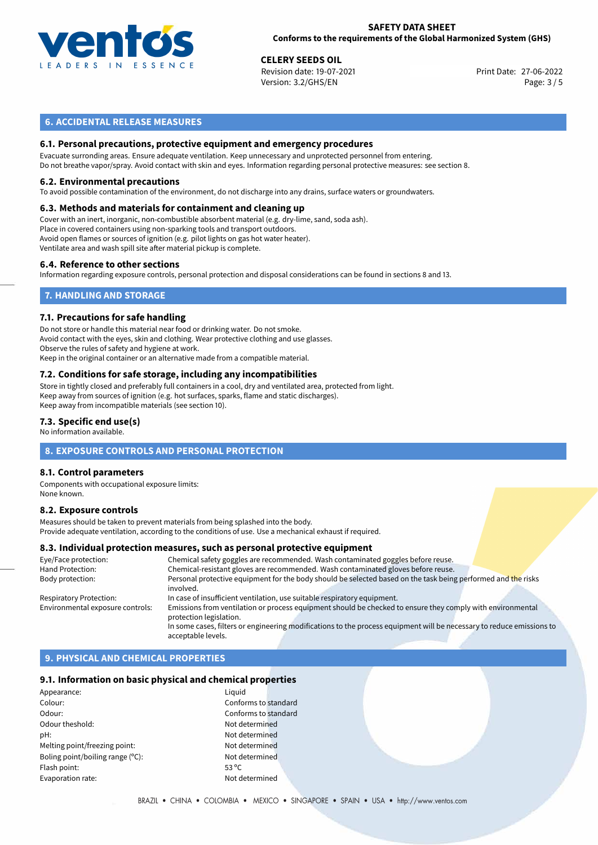

#### **SAFETY DATA SHEET Conforms to the requirements of the Global Harmonized System (GHS)**

# **CELERY SEEDS OIL**<br>
Revision date: 19-07-2021<br> **CELERY SEEDS OIL**<br> **CELERY SEEDS OIL**

Revision date: 19-07-2021 Version: 3.2/GHS/EN Page: 3 / 5

# **6. ACCIDENTAL RELEASE MEASURES**

### **6.1. Personal precautions, protective equipment and emergency procedures**

Evacuate surronding areas. Ensure adequate ventilation. Keep unnecessary and unprotected personnel from entering. Do not breathe vapor/spray. Avoid contact with skin and eyes. Information regarding personal protective measures: see section 8.

#### **6.2. Environmental precautions**

To avoid possible contamination of the environment, do not discharge into any drains, surface waters or groundwaters.

#### **6.3. Methods and materials for containment and cleaning up**

Cover with an inert, inorganic, non-combustible absorbent material (e.g. dry-lime, sand, soda ash). Place in covered containers using non-sparking tools and transport outdoors. Avoid open flames or sources of ignition (e.g. pilot lights on gas hot water heater). Ventilate area and wash spill site after material pickup is complete.

#### **6.4. Reference to other sections**

Information regarding exposure controls, personal protection and disposal considerations can be found in sections 8 and 13.

# **7. HANDLING AND STORAGE**

#### **7.1. Precautions for safe handling**

Do not store or handle this material near food or drinking water. Do not smoke. Avoid contact with the eyes, skin and clothing. Wear protective clothing and use glasses. Observe the rules of safety and hygiene at work. Keep in the original container or an alternative made from a compatible material.

# **7.2. Conditions for safe storage, including any incompatibilities**

Store in tightly closed and preferably full containers in a cool, dry and ventilated area, protected from light. Keep away from sources of ignition (e.g. hot surfaces, sparks, flame and static discharges). Keep away from incompatible materials (see section 10).

#### **7.3. Specific end use(s)**

No information available.

### **8. EXPOSURE CONTROLS AND PERSONAL PROTECTION**

#### **8.1. Control parameters**

Components with occupational exposure limits: None known.

#### **8.2. Exposure controls**

Measures should be taken to prevent materials from being splashed into the body. Provide adequate ventilation, according to the conditions of use. Use a mechanical exhaust if required.

#### **8.3. Individual protection measures, such as personal protective equipment**

| Eye/Face protection:             | Chemical safety goggles are recommended. Wash contaminated goggles before reuse.                                      |
|----------------------------------|-----------------------------------------------------------------------------------------------------------------------|
| Hand Protection:                 | Chemical-resistant gloves are recommended. Wash contaminated gloves before reuse.                                     |
| Body protection:                 | Personal protective equipment for the body should be selected based on the task being performed and the risks         |
|                                  | involved.                                                                                                             |
| <b>Respiratory Protection:</b>   | In case of insufficient ventilation, use suitable respiratory equipment.                                              |
| Environmental exposure controls: | Emissions from ventilation or process equipment should be checked to ensure they comply with environmental            |
|                                  | protection legislation.                                                                                               |
|                                  | In some cases, filters or engineering modifications to the process equipment will be necessary to reduce emissions to |
|                                  | acceptable levels.                                                                                                    |

# **9. PHYSICAL AND CHEMICAL PROPERTIES**

#### **9.1. Information on basic physical and chemical properties**

| Appearance:                      | Liguid         |
|----------------------------------|----------------|
| Colour:                          | Confo          |
| Odour:                           | Confo          |
| Odour theshold:                  | Not de         |
| pH:                              | Not de         |
| Melting point/freezing point:    | Not de         |
| Boling point/boiling range (°C): | Not de         |
| Flash point:                     | $53^{\circ}$ C |
| Evaporation rate:                | Not de         |
|                                  |                |

Conforms to standard Conforms to standard Not determined Not determined Not determined Not determined Not determined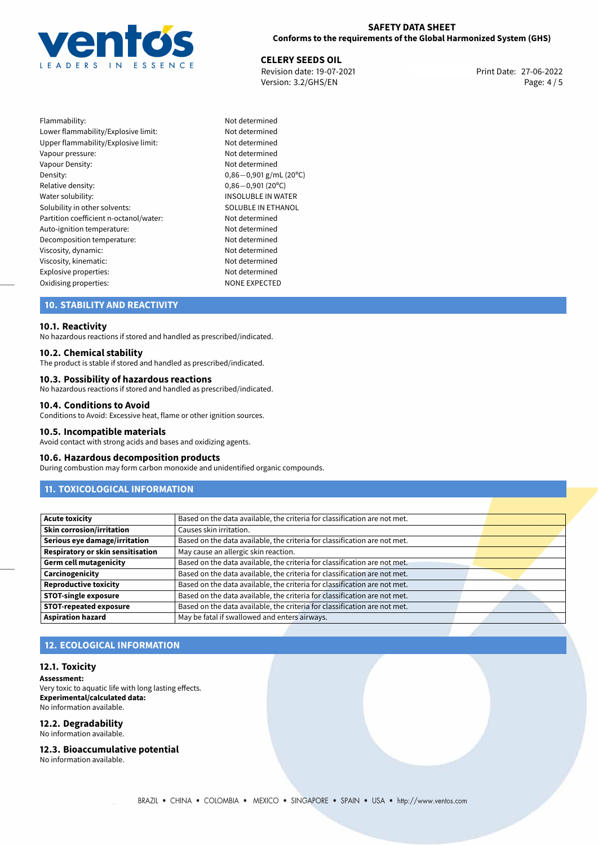

# **SAFETY DATA SHEET Conforms to the requirements of the Global Harmonized System (GHS)**

**CELERY SEEDS OIL**<br>
Revision date: 19-07-2021 **Print Date: 27-06-2022** Version: 3.2/GHS/EN Page: 4 / 5

| Flammability:                          |
|----------------------------------------|
| Lower flammability/Explosive limit:    |
| Upper flammability/Explosive limit:    |
| Vapour pressure:                       |
| Vapour Density:                        |
| Density:                               |
| Relative density:                      |
| Water solubility:                      |
| Solubility in other solvents:          |
| Partition coefficient n-octanol/water: |
| Auto-ignition temperature:             |
| Decomposition temperature:             |
| Viscosity, dynamic:                    |
| Viscosity, kinematic:                  |
| Explosive properties:                  |
| Oxidising properties:                  |

Not determined Not determined Not determined Not determined Not determined Density: 0,86*−*0,901 g/mL (20ºC) Relative density: 0,86*−*0,901 (20ºC) INSOLUBLE IN WATER SOLUBLE IN ETHANOL Not determined Not determined Not determined Not determined Not determined Not determined<br>NONE EXPECTED

# **10. STABILITY AND REACTIVITY**

#### **10.1. Reactivity**

No hazardous reactions if stored and handled as prescribed/indicated.

#### **10.2. Chemical stability**

The product is stable if stored and handled as prescribed/indicated.

#### **10.3. Possibility of hazardous reactions**

No hazardous reactions if stored and handled as prescribed/indicated.

#### **10.4. Conditions to Avoid**

Conditions to Avoid: Excessive heat, flame or other ignition sources.

#### **10.5. Incompatible materials**

Avoid contact with strong acids and bases and oxidizing agents.

#### **10.6. Hazardous decomposition products**

During combustion may form carbon monoxide and unidentified organic compounds.

# **11. TOXICOLOGICAL INFORMATION**

| <b>Acute toxicity</b>             | Based on the data available, the criteria for classification are not met. |  |
|-----------------------------------|---------------------------------------------------------------------------|--|
| Skin corrosion/irritation         | Causes skin irritation.                                                   |  |
| Serious eye damage/irritation     | Based on the data available, the criteria for classification are not met. |  |
| Respiratory or skin sensitisation | May cause an allergic skin reaction.                                      |  |
| Germ cell mutagenicity            | Based on the data available, the criteria for classification are not met. |  |
| Carcinogenicity                   | Based on the data available, the criteria for classification are not met. |  |
| Reproductive toxicity             | Based on the data available, the criteria for classification are not met. |  |
| STOT-single exposure              | Based on the data available, the criteria for classification are not met. |  |
| <b>STOT-repeated exposure</b>     | Based on the data available, the criteria for classification are not met. |  |
| <b>Aspiration hazard</b>          | May be fatal if swallowed and enters airways.                             |  |

# **12. ECOLOGICAL INFORMATION**

#### **12.1. Toxicity**

**Assessment:** Very toxic to aquatic life with long lasting effects. **Experimental/calculated data:** No information available.

# **12.2. Degradability**

No information available.

#### **12.3. Bioaccumulative potential**

No information available.